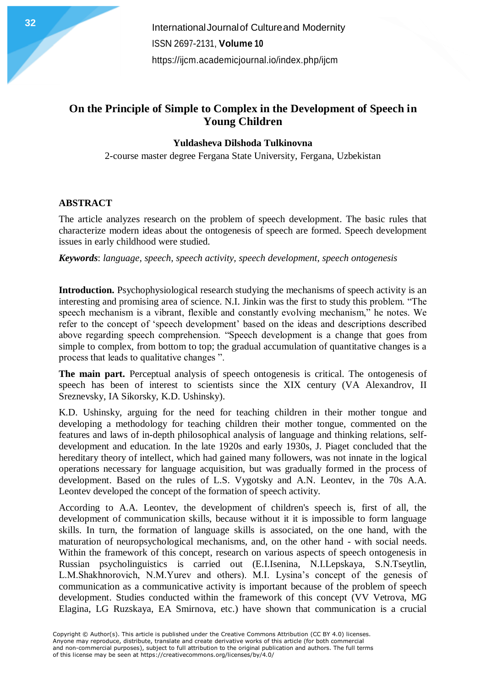**International Journal of Cultureand Modernity** ISSN 2697-2131, **Volume 10** <https://ijcm.academicjournal.io/index.php/ijcm>

## **On the Principle of Simple to Complex in the Development of Speech in Young Children**

### **Yuldasheva Dilshoda Tulkinovna**

2-course master degree Fergana State University, Fergana, Uzbekistan

#### **ABSTRACT**

The article analyzes research on the problem of speech development. The basic rules that characterize modern ideas about the ontogenesis of speech are formed. Speech development issues in early childhood were studied.

*Keywords*: *language, speech, speech activity, speech development, speech ontogenesis*

**Introduction.** Psychophysiological research studying the mechanisms of speech activity is an interesting and promising area of science. N.I. Jinkin was the first to study this problem. "The speech mechanism is a vibrant, flexible and constantly evolving mechanism," he notes. We refer to the concept of 'speech development' based on the ideas and descriptions described above regarding speech comprehension. "Speech development is a change that goes from simple to complex, from bottom to top; the gradual accumulation of quantitative changes is a process that leads to qualitative changes ".

**The main part.** Perceptual analysis of speech ontogenesis is critical. The ontogenesis of speech has been of interest to scientists since the XIX century (VA Alexandrov, II Sreznevsky, IA Sikorsky, K.D. Ushinsky).

K.D. Ushinsky, arguing for the need for teaching children in their mother tongue and developing a methodology for teaching children their mother tongue, commented on the features and laws of in-depth philosophical analysis of language and thinking relations, selfdevelopment and education. In the late 1920s and early 1930s, J. Piaget concluded that the hereditary theory of intellect, which had gained many followers, was not innate in the logical operations necessary for language acquisition, but was gradually formed in the process of development. Based on the rules of L.S. Vygotsky and A.N. Leontev, in the 70s A.A. Leontev developed the concept of the formation of speech activity.

According to A.A. Leontev, the development of children's speech is, first of all, the development of communication skills, because without it it is impossible to form language skills. In turn, the formation of language skills is associated, on the one hand, with the maturation of neuropsychological mechanisms, and, on the other hand - with social needs. Within the framework of this concept, research on various aspects of speech ontogenesis in Russian psycholinguistics is carried out (E.I.Isenina, N.I.Lepskaya, S.N.Tseytlin, L.M.Shakhnorovich, N.M.Yurev and others). M.I. Lysina's concept of the genesis of communication as a communicative activity is important because of the problem of speech development. Studies conducted within the framework of this concept (VV Vetrova, MG Elagina, LG Ruzskaya, EA Smirnova, etc.) have shown that communication is a crucial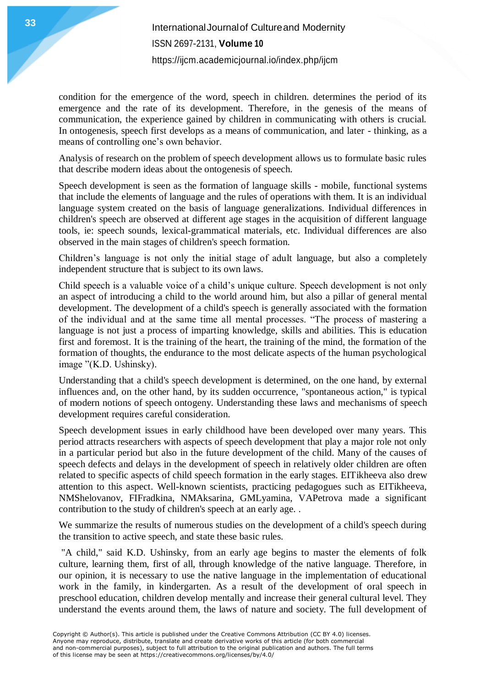condition for the emergence of the word, speech in children. determines the period of its emergence and the rate of its development. Therefore, in the genesis of the means of communication, the experience gained by children in communicating with others is crucial. In ontogenesis, speech first develops as a means of communication, and later - thinking, as a means of controlling one's own behavior.

Analysis of research on the problem of speech development allows us to formulate basic rules that describe modern ideas about the ontogenesis of speech.

Speech development is seen as the formation of language skills - mobile, functional systems that include the elements of language and the rules of operations with them. It is an individual language system created on the basis of language generalizations. Individual differences in children's speech are observed at different age stages in the acquisition of different language tools, ie: speech sounds, lexical-grammatical materials, etc. Individual differences are also observed in the main stages of children's speech formation.

Children's language is not only the initial stage of adult language, but also a completely independent structure that is subject to its own laws.

Child speech is a valuable voice of a child's unique culture. Speech development is not only an aspect of introducing a child to the world around him, but also a pillar of general mental development. The development of a child's speech is generally associated with the formation of the individual and at the same time all mental processes. "The process of mastering a language is not just a process of imparting knowledge, skills and abilities. This is education first and foremost. It is the training of the heart, the training of the mind, the formation of the formation of thoughts, the endurance to the most delicate aspects of the human psychological image "(K.D. Ushinsky).

Understanding that a child's speech development is determined, on the one hand, by external influences and, on the other hand, by its sudden occurrence, "spontaneous action," is typical of modern notions of speech ontogeny. Understanding these laws and mechanisms of speech development requires careful consideration.

Speech development issues in early childhood have been developed over many years. This period attracts researchers with aspects of speech development that play a major role not only in a particular period but also in the future development of the child. Many of the causes of speech defects and delays in the development of speech in relatively older children are often related to specific aspects of child speech formation in the early stages. EITikheeva also drew attention to this aspect. Well-known scientists, practicing pedagogues such as EITikheeva, NMShelovanov, FIFradkina, NMAksarina, GMLyamina, VAPetrova made a significant contribution to the study of children's speech at an early age. .

We summarize the results of numerous studies on the development of a child's speech during the transition to active speech, and state these basic rules.

"A child," said K.D. Ushinsky, from an early age begins to master the elements of folk culture, learning them, first of all, through knowledge of the native language. Therefore, in our opinion, it is necessary to use the native language in the implementation of educational work in the family, in kindergarten. As a result of the development of oral speech in preschool education, children develop mentally and increase their general cultural level. They understand the events around them, the laws of nature and society. The full development of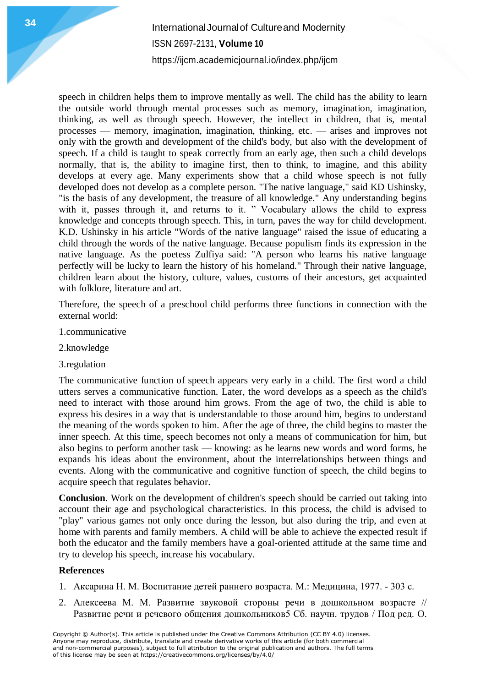# **International Journal of Cultureand Modernity** ISSN 2697-2131, **Volume 10** <https://ijcm.academicjournal.io/index.php/ijcm>

speech in children helps them to improve mentally as well. The child has the ability to learn the outside world through mental processes such as memory, imagination, imagination, thinking, as well as through speech. However, the intellect in children, that is, mental processes — memory, imagination, imagination, thinking, etc. — arises and improves not only with the growth and development of the child's body, but also with the development of speech. If a child is taught to speak correctly from an early age, then such a child develops normally, that is, the ability to imagine first, then to think, to imagine, and this ability develops at every age. Many experiments show that a child whose speech is not fully developed does not develop as a complete person. "The native language," said KD Ushinsky, "is the basis of any development, the treasure of all knowledge." Any understanding begins with it, passes through it, and returns to it. " Vocabulary allows the child to express knowledge and concepts through speech. This, in turn, paves the way for child development. K.D. Ushinsky in his article "Words of the native language" raised the issue of educating a child through the words of the native language. Because populism finds its expression in the native language. As the poetess Zulfiya said: "A person who learns his native language perfectly will be lucky to learn the history of his homeland." Through their native language, children learn about the history, culture, values, customs of their ancestors, get acquainted with folklore, literature and art.

Therefore, the speech of a preschool child performs three functions in connection with the external world:

- 1.communicative
- 2.knowledge
- 3.regulation

The communicative function of speech appears very early in a child. The first word a child utters serves a communicative function. Later, the word develops as a speech as the child's need to interact with those around him grows. From the age of two, the child is able to express his desires in a way that is understandable to those around him, begins to understand the meaning of the words spoken to him. After the age of three, the child begins to master the inner speech. At this time, speech becomes not only a means of communication for him, but also begins to perform another task — knowing: as he learns new words and word forms, he expands his ideas about the environment, about the interrelationships between things and events. Along with the communicative and cognitive function of speech, the child begins to acquire speech that regulates behavior.

**Conclusion**. Work on the development of children's speech should be carried out taking into account their age and psychological characteristics. In this process, the child is advised to "play" various games not only once during the lesson, but also during the trip, and even at home with parents and family members. A child will be able to achieve the expected result if both the educator and the family members have a goal-oriented attitude at the same time and try to develop his speech, increase his vocabulary.

#### **References**

- 1. Аксарина Н. М. Воспитание детей раннего возраста. М.: Медицина, 1977. 303 с.
- 2. Алексеева М. М. Развитие звуковой стороны речи в дошкольном возрасте // Развитие речи и речевого общения дошкольников5 Сб. научн. трудов / Под ред. О.